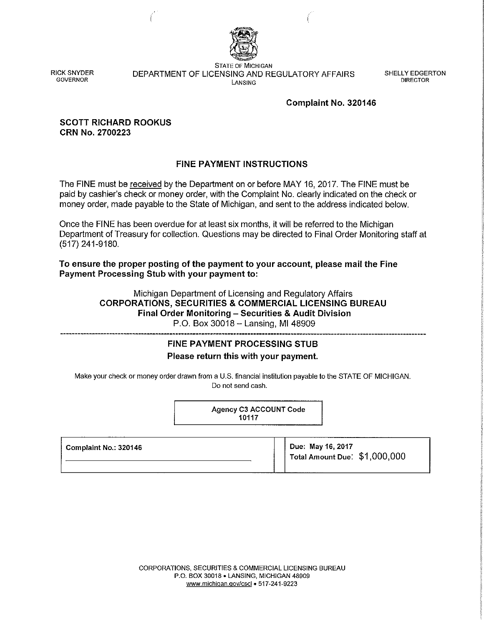

RICK SNYDER **GOVERNOR** 

STATE OF MICHIGAN DEPARTMENT OF LICENSING AND REGULATORY AFFAIRS LANSING

SHELLY EDGERTON DIRECTOR

### Complaint No. 320146

#### SCOTT RICHARD ROOKUS CRN No. 2700223

## FINE PAYMENT INSTRUCTIONS

The FINE must be received by the Department on or before MAY 16, 2017. The FINE must be paid by cashier's check or money order, with the Complaint No. clearly indicated on the check or money order, made payable to the State of Michigan, and sent to the address indicated below.

Once the FINE has been overdue for at least six months, it will be referred to the Michigan Department of Treasury for collection. Questions may be directed to Final Order Monitoring staff at (517) 241-9180.

To ensure the proper posting of the payment to your account, please mail the Fine Payment Processing Stub with your payment to:

> Michigan Department of Licensing and Regulatory Affairs CORPORATIONS, SECURITIES & COMMERCIAL LICENSING BUREAU Final Order Monitoring - Securities & Audit Division P.O. Box 30018 - Lansing, MI 48909

# FINE PAYMENT PROCESSING STUB Please return this with your payment.

Make your check or money order drawn from a U.S. financial institution payable to the STATE OF MICHIGAN. Do not send cash.

> Agency C3 ACCOUNT Code 10117

| l  Complaint No.: 320146 | ່ Due: May 16, 2017<br>⊺otal Amount Due: \$1,000,000 |
|--------------------------|------------------------------------------------------|
|                          |                                                      |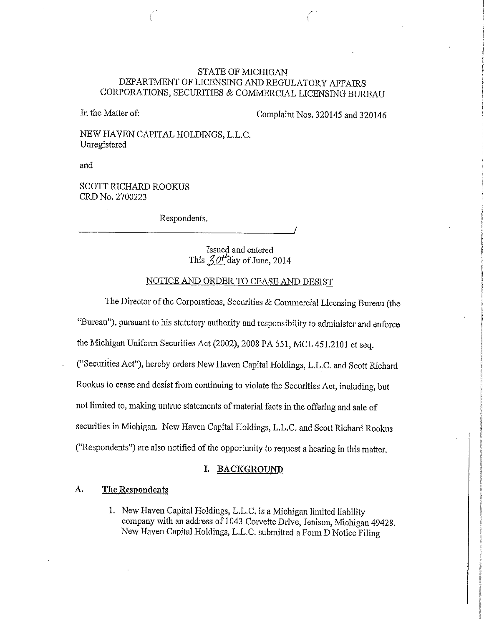## STATE OF MICHIGAN DEPARTMENT OF LICENSING AND REGULATORY AFFAIRS CORPORATIONS, SECURlTIES & COMMERCIAL LICENSING BUREAU

In the Matter of: Complaint Nos. 320145 and 320146

NEW HAVEN CAPITAL HOLDINGS, L.L.C. Umegistered

and

SCOTT RICHARD ROOKUS CRD No. 2700223

Respondents.

Issued and entered This  $30t'$  day of June, 2014

## NOTICE AND ORDER TO CEASE AND DESIST

The Director of the Corporations, Securities & Commercial Licensing Bureau (the "Bureau"), pursuant to his statutory authority and responsibility to administer and enforce the Michigan Uniform Securities Act (2002), 2008 PA 551, MCL 451.2101 et seq. ("Securiiies Act"), hereby orders New Haven Capital Holdings, L.L.C. and Scott Richard Rookus to cease and desist from continuing to violate the Securities Act, including, but not limited to, making untrue statements of material facts in the offering and sale of securities in Michigan. New Haven Capital Holdings, L.L.C. and Scott Richard Rookus ("Respondents") are also notified of the opportunity to request a hearing in this matter.

#### **I. BACKGROUND**

### **A. The Respondents**

I. New Haven Capital Holdings, L.L.C. is a Michigan limited liability company with an address of 1043 Corvette Drive, Jenison, Michigan 49428. New Haven Capital Holdings, L.L.C. submitted a Form D Notice Filing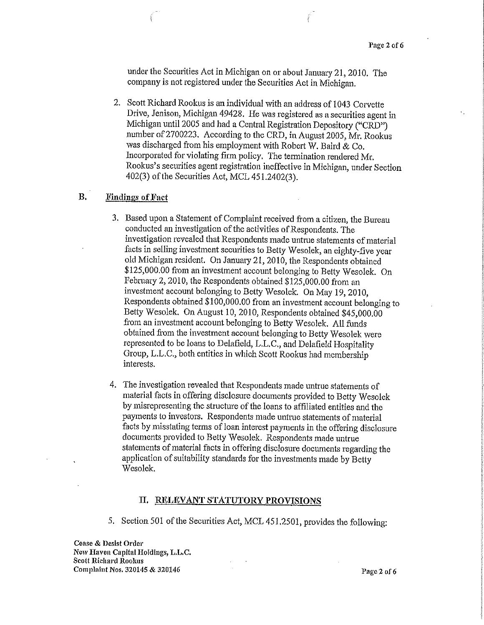under the Securities Act in Michigan on or about January 21, 2010. The company is not registered under the Securities Act in Michigan.

2. Scott Richard Rookus is an individual with an address of 1043 Corvette Drive, Jenison, Michigan 49428. He was registered as a securities agent in Michigan until 2005 and had a Central Registration Depository ("CRD") number of 2700223. According to the CRD, in August 2005, Mr. Rookus was discharged from his employment with Robert W. Baird & Co. Incorporated for violating firm policy. The tetmination rendered Mr. Rookus's securities agent registration ineffective in Michigan, under Section 402(3) of the Securities Act, MCL 451.2402(3).

### **B.** Findings of Fact

- 3. Based upon a Statement of Complaint received from a citizen, the Bureau conducted an investigation of the activities of Respondents. The investigation revealed that Respondents made untrue statements of material facts in selling investment securities to Betty Wesolek, an eighty-five year old Michigan resident. On Januaty 21, 2010, the Respondents obtained \$125,000.00 from an investment account belonging to Betty Wesolek. On February 2, 2010, the Respondents obtained \$125,000.00 from an investment account belonging to Betty Wesolek. On May 19, 2010, Respondents obtained \$100,000.00 from an investment account belonging to Betty Wesolek. On August 10, 2010, Respondents obtained \$45,000.00 from an investment account belonging to Betty Wesolek. All funds obtained from the investment account belonging to Betty Wesolek were represented to be loans to Delafield, L.L.C., and Delafield Hospitality Group, L.L.C., both entities in which Scott Rookus had membership interests.
- 4. The investigation revealed that Respondents made untrue statements of material facts in offering disclosure documents provided to Betty Wesolek by misrepresenting the structure of the loans to affiliated entities and the payments to investors. Respondents made untrue statements of material facts by misstating terms of loan interest payments in the offering disclosure documents provided to Betty Wesolek. Respondents made untrue statements of material facts in offering disclosure documents regarding the application of suitability standards for the investments made by Betty Wesolek.

#### **II. RELEVANT STATUTORY PROVISIONS**

5. Section 501 of the Securities Act, MCL 451.2501, provides the following:

Cease & Desist Order New Haven Capital Holdings, L.L.C. Scott Richard Rookus Complaint Nos.  $320145 \& 320146$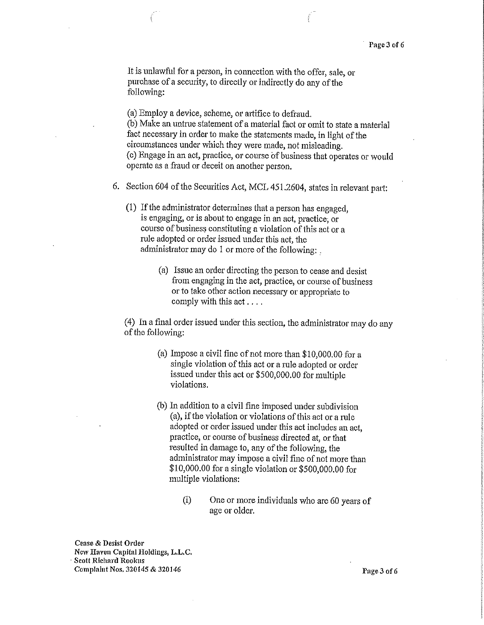It is unlawful for a person, in connection with the offer, sale, or purchase of a security, to directly or indirectly do any of the following:

(a) Employ a device, scheme, 01· artifice to defraud. (b) Make an untrue statement of a material fact or omit to state a material fact necessary in order to make the statements made, in light of the circumstances under which they were made, not misleading. (c) Engage in an act, practice, or course of business that operates or would operate as a fraud or deceit on another person.

- 6. Section 604 of the Securities Act, MCL 451.2604, states in relevant part:
	- (1) If the administrator determines that a person has engaged, is engaging, or is about to engage in an act, practice; or course of business constituting a violation of this act or a rule adopted or order issued under this act, the administrator may do 1 or more of the following:
		- (a) Issue an order directing the person to cease and desist from engaging in the act, practice, or course of business or to take other action necessary or appropriate to comply with this act ....

(4) In a final order issued under this section, the administrator may do any of the following:

- (a) Impose a civil fine of not more than \$10,000.00 for a single violation of this act or a rule adopted or order issued under this act or \$500,000.00 for multiple violations.
- (b) In addition to a civil fine imposed under subdivision (a), if the violation or violations of this act or a rule adopted or order issued under this act includes an act, practice, or course of business directed at, or that resulted in damage to, any of the following, the administrator may impose a civil fine of not more than \$10,000.00 for a single violation or \$500,000.00 for multiple violations:
	- (i) One or more individuals who are 60 years of age or older.

Cease & Desist Order New Haven Capital Holdings, L.L.C. Scott Richard Rookus Complaint Nos. 320145 & 320146 **Page 3 of 6**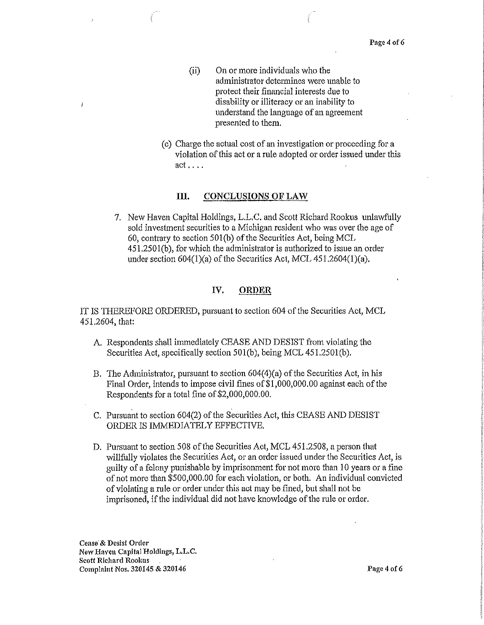- (ii) On or more individuals who the administrator determines were unable to protect their financial interests due to disability or illiteracy or an inability to understand the language of an agreement presented to them.
- ( c) Charge the actual cost of an investigation or proceeding for a violation of this act or a rule adopted or order issued under this act ....

#### III. CONCLUSIONS OF LAW

7. New Haven Capital Holdings, L.L.C. and Scott Richard Rookus unlawfully sold investment securities to a Michigan resident who was over the age of 60, contrary to section 501(b) of the Securities Act, being MCL 451.250l(b), for which the administrator is authorized to issue an order under section  $604(1)(a)$  of the Securities Act, MCL  $451.2604(1)(a)$ .

#### IV. ORDER

IT IS THEREFORE ORDERED, pursuant to section 604 of the Securities Act, MCL 451.2604, that:

- A. Respondents shall immediately CEASE AND DESIST from violating the Securities Act, specifically section 501(b), being MCL 451.250!(b).
- B. The Administrator, pursuant to section 604(4)(a) of the Securities Act, in his Final Order, intends to impose civil fines of \$1,000,000.00 against each of the Respondents for a total fine of \$2,000,000.00.
- C. Pursuant to section 604(2) of the Securities Act, this CEASE AND DESIST ORDER IS IMMEDIATELY EFFECTIVE.
- D. Pursuant to section 508 of the Securities Act, MCL 451.2508, a person that willfully violates the Securities Act, or an order issued under the Securities Act, is guilty of a felony punishable by imprisonment for not more than 10 years or a fine of not more than \$500,000.00 for each violation, or both. An individual convicted of violating a rule or order under this act may be fined, but shall not be imprisoned, if the individual did not have knowledge of the rule or order.

Cease & Desist Order New Haven Capital Holdings, L.L.C. Scott Richard Roolms Complaint Nos. 320145 & 320146 Page 4 of 6

 $\overline{1}$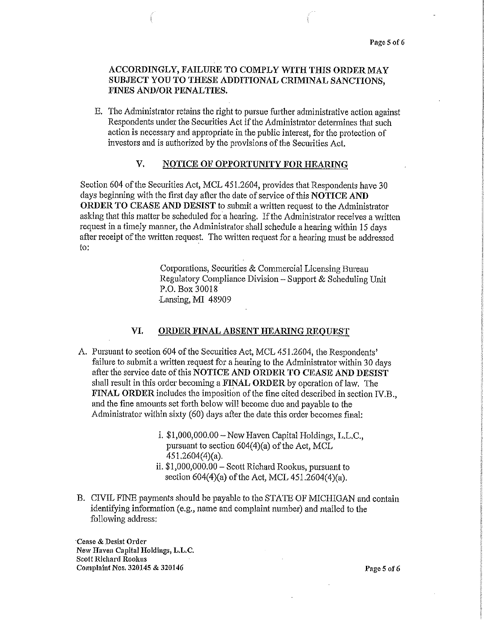## ACCORDINGLY, FAILURE TO COMPLY WITH THIS ORDER MAY SUBJECT YOU TO THESE ADDITIONAL CRIMINAL SANCTIONS, FINES AND/OR PENALTIES.

E. The Administrator retains the right to pursue further administrative action against Respondents under the Securities Act if the Administrator determines that such action is necessary and appropriate in the public interest, for the protection of investors and is authorized by the provisions of the Securities Act.

### V. NOTICE OF OPPORTUNITY FOR HEARING

Section 604 of the Securities Act, MCL 451.2604, provides that Respondents have 30 days beginning with the first day after the date of service of this NOTICE AND ORDER TO CEASE AND DESIST to submit a written request to the Administrator asking that this matter be scheduled for a hearing, If the Administrator receives a written request in a timely manner, the Administrator shall schedule a hearing within 15 days after receipt of the written request The written request for a hearing must be addressed to:

> Corporations, Securities & Commercial Licensing Bureau Regulatory Compliance Division - Support & Scheduling Unit P.O. Box 30018 Lansing, MI 48909

### VI. ORDER FINAL ABSENT HEARING REQUEST

- A. Pursuant to section 604 of the Securities Act, MCL 451.2604, the Respondents' failure to submit a written request for a hearing to the Administrator within 30 days after the service date of this NOTICE AND ORDER TO CEASE AND DESIST shall result in this order becoming a FINAL ORDER by operation of law. The FINAL ORDER includes the imposition of the fine cited described in section *IV.B.,*  and the fine amounts set forth below will become due and payable to the Administrator within sixty (60) days after the date this order becomes final:
	- i. \$1,000,000.00-New Haven Capital Holdings, L.L.C., pursuant to section  $604(4)(a)$  of the Act, MCL 451.2604(4)(a). ii. \$1,000,000.00- Scott Richard Rookus, pursuant to
	- section 604(4)(a) of the Act, MCL 451.2604(4)(a),
- B. CIVIL FINE payments should be payable to the STATE OF MICHIGAN and contain identifying information (e.g., name and complaint number) and mailed to the following address:

·Cease & Desist Order New Haven Capital Holdings, L.L.C. Scott Richard Rookus Complaint Nos. 320145 & 320146 Page 5 of 6